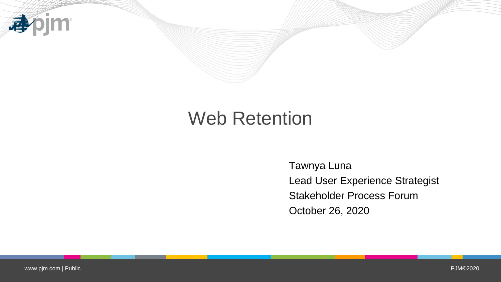

## Web Retention

Tawnya Luna Lead User Experience Strategist Stakeholder Process Forum October 26, 2020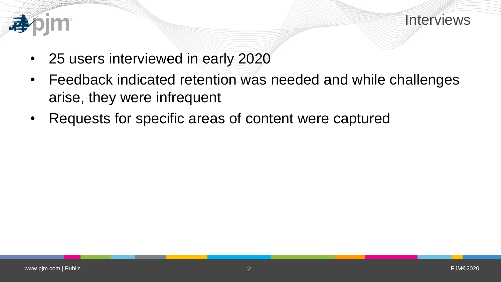

### Interviews

- 25 users interviewed in early 2020
- Feedback indicated retention was needed and while challenges arise, they were infrequent
- Requests for specific areas of content were captured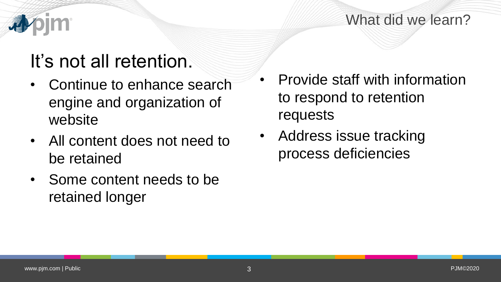## What did we learn?

# It's not all retention.

- Continue to enhance search engine and organization of website
- All content does not need to be retained
- Some content needs to be retained longer
- Provide staff with information to respond to retention requests
- Address issue tracking process deficiencies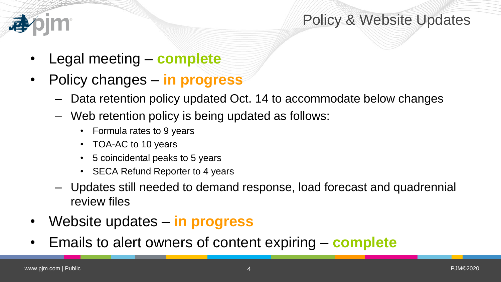

## Policy & Website Updates

- Legal meeting **complete**
- Policy changes **in progress**
	- Data retention policy updated Oct. 14 to accommodate below changes
	- Web retention policy is being updated as follows:
		- Formula rates to 9 years
		- TOA-AC to 10 years
		- 5 coincidental peaks to 5 years
		- SECA Refund Reporter to 4 years
	- Updates still needed to demand response, load forecast and quadrennial review files
- Website updates **in progress**
- Emails to alert owners of content expiring **complete**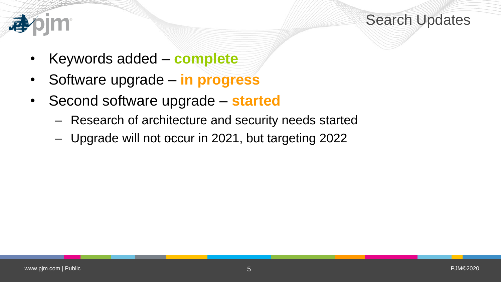

## Search Updates

- Keywords added **complete**
- Software upgrade **in progress**
- Second software upgrade **started**
	- Research of architecture and security needs started
	- Upgrade will not occur in 2021, but targeting 2022